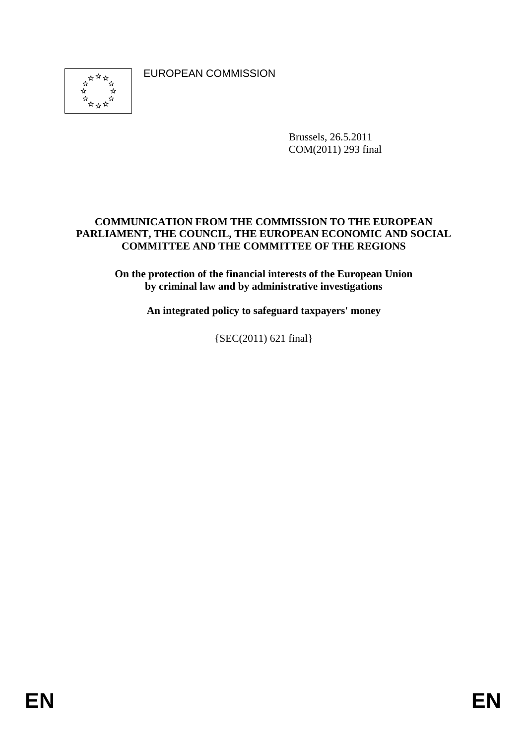EUROPEAN COMMISSION



Brussels, 26.5.2011 COM(2011) 293 final

#### **COMMUNICATION FROM THE COMMISSION TO THE EUROPEAN PARLIAMENT, THE COUNCIL, THE EUROPEAN ECONOMIC AND SOCIAL COMMITTEE AND THE COMMITTEE OF THE REGIONS**

**On the protection of the financial interests of the European Union by criminal law and by administrative investigations** 

**An integrated policy to safeguard taxpayers' money** 

{SEC(2011) 621 final}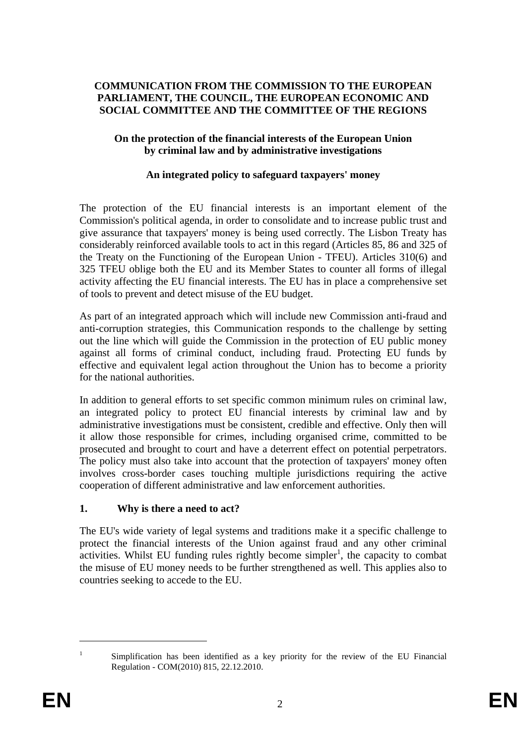#### **COMMUNICATION FROM THE COMMISSION TO THE EUROPEAN PARLIAMENT, THE COUNCIL, THE EUROPEAN ECONOMIC AND SOCIAL COMMITTEE AND THE COMMITTEE OF THE REGIONS**

#### **On the protection of the financial interests of the European Union by criminal law and by administrative investigations**

#### **An integrated policy to safeguard taxpayers' money**

The protection of the EU financial interests is an important element of the Commission's political agenda, in order to consolidate and to increase public trust and give assurance that taxpayers' money is being used correctly. The Lisbon Treaty has considerably reinforced available tools to act in this regard (Articles 85, 86 and 325 of the Treaty on the Functioning of the European Union - TFEU). Articles 310(6) and 325 TFEU oblige both the EU and its Member States to counter all forms of illegal activity affecting the EU financial interests. The EU has in place a comprehensive set of tools to prevent and detect misuse of the EU budget.

As part of an integrated approach which will include new Commission anti-fraud and anti-corruption strategies, this Communication responds to the challenge by setting out the line which will guide the Commission in the protection of EU public money against all forms of criminal conduct, including fraud. Protecting EU funds by effective and equivalent legal action throughout the Union has to become a priority for the national authorities.

In addition to general efforts to set specific common minimum rules on criminal law, an integrated policy to protect EU financial interests by criminal law and by administrative investigations must be consistent, credible and effective. Only then will it allow those responsible for crimes, including organised crime, committed to be prosecuted and brought to court and have a deterrent effect on potential perpetrators. The policy must also take into account that the protection of taxpayers' money often involves cross-border cases touching multiple jurisdictions requiring the active cooperation of different administrative and law enforcement authorities.

### **1. Why is there a need to act?**

The EU's wide variety of legal systems and traditions make it a specific challenge to protect the financial interests of the Union against fraud and any other criminal  $\alpha$  activities. Whilst EU funding rules rightly become simpler<sup>1</sup>, the capacity to combat the misuse of EU money needs to be further strengthened as well. This applies also to countries seeking to accede to the EU.

<sup>&</sup>lt;sup>1</sup> Simplification has been identified as a key priority for the review of the EU Financial Regulation - COM(2010) 815, 22.12.2010.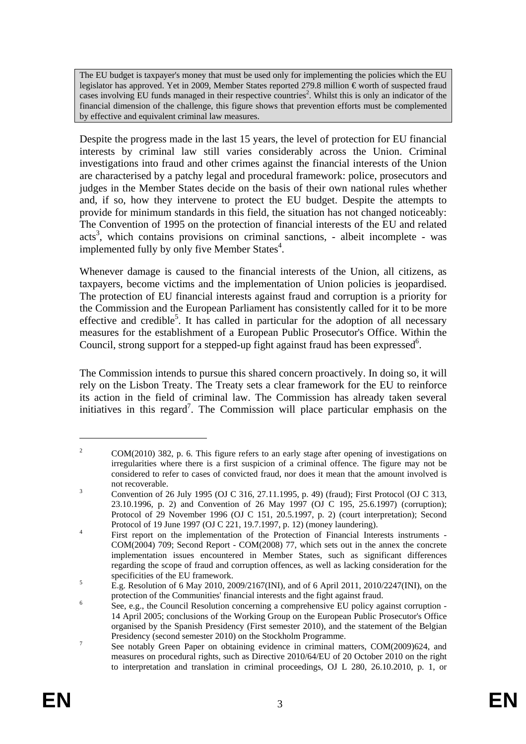The EU budget is taxpayer's money that must be used only for implementing the policies which the EU legislator has approved. Yet in 2009, Member States reported 279.8 million € worth of suspected fraud cases involving EU funds managed in their respective countries<sup>2</sup>. Whilst this is only an indicator of the financial dimension of the challenge, this figure shows that prevention efforts must be complemented by effective and equivalent criminal law measures.

Despite the progress made in the last 15 years, the level of protection for EU financial interests by criminal law still varies considerably across the Union. Criminal investigations into fraud and other crimes against the financial interests of the Union are characterised by a patchy legal and procedural framework: police, prosecutors and judges in the Member States decide on the basis of their own national rules whether and, if so, how they intervene to protect the EU budget. Despite the attempts to provide for minimum standards in this field, the situation has not changed noticeably: The Convention of 1995 on the protection of financial interests of the EU and related acts<sup>3</sup>, which contains provisions on criminal sanctions, - albeit incomplete - was implemented fully by only five Member States<sup>4</sup>.

Whenever damage is caused to the financial interests of the Union, all citizens, as taxpayers, become victims and the implementation of Union policies is jeopardised. The protection of EU financial interests against fraud and corruption is a priority for the Commission and the European Parliament has consistently called for it to be more effective and credible<sup>5</sup>. It has called in particular for the adoption of all necessary measures for the establishment of a European Public Prosecutor's Office. Within the Council, strong support for a stepped-up fight against fraud has been expressed $6$ .

The Commission intends to pursue this shared concern proactively. In doing so, it will rely on the Lisbon Treaty. The Treaty sets a clear framework for the EU to reinforce its action in the field of criminal law. The Commission has already taken several initiatives in this regard<sup>7</sup>. The Commission will place particular emphasis on the

<sup>2</sup> COM(2010) 382, p. 6. This figure refers to an early stage after opening of investigations on irregularities where there is a first suspicion of a criminal offence. The figure may not be considered to refer to cases of convicted fraud, nor does it mean that the amount involved is not recoverable.

Convention of 26 July 1995 (OJ C 316, 27.11.1995, p. 49) (fraud); First Protocol (OJ C 313, 23.10.1996, p. 2) and Convention of 26 May 1997 (OJ C 195, 25.6.1997) (corruption); Protocol of 29 November 1996 (OJ C 151, 20.5.1997, p. 2) (court interpretation); Second Protocol of 19 June 1997 (OJ C 221, 19.7.1997, p. 12) (money laundering).

First report on the implementation of the Protection of Financial Interests instruments - COM(2004) 709; Second Report - COM(2008) 77, which sets out in the annex the concrete implementation issues encountered in Member States, such as significant differences regarding the scope of fraud and corruption offences, as well as lacking consideration for the specificities of the EU framework.

E.g. Resolution of 6 May 2010[, 2009/2167\(INI\),](http://www.europarl.europa.eu/oeil/FindByProcnum.do?lang=en&procnum=INI/2009/2167) and of 6 April 2011, 2010/2247(INI), on the protection of the Communities' financial interests and the fight against fraud.

See, e.g., the Council Resolution concerning a comprehensive EU policy against corruption - 14 April 2005; conclusions of the Working Group on the European Public Prosecutor's Office organised by the Spanish Presidency (First semester 2010), and the statement of the Belgian Presidency (second semester 2010) on the Stockholm Programme.

See notably Green Paper on obtaining evidence in criminal matters, COM(2009)624, and measures on procedural rights, such as Directive 2010/64/EU of 20 October 2010 on the right to interpretation and translation in criminal proceedings, OJ L 280, 26.10.2010, p. 1, or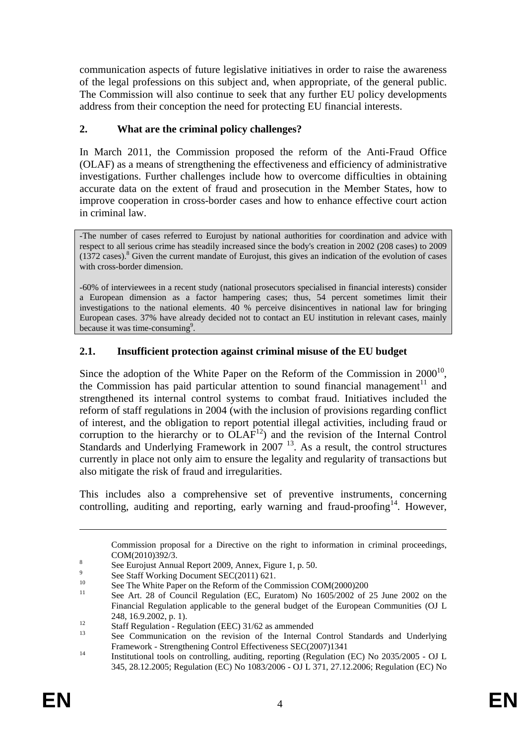communication aspects of future legislative initiatives in order to raise the awareness of the legal professions on this subject and, when appropriate, of the general public. The Commission will also continue to seek that any further EU policy developments address from their conception the need for protecting EU financial interests.

## **2. What are the criminal policy challenges?**

In March 2011, the Commission proposed the reform of the Anti-Fraud Office (OLAF) as a means of strengthening the effectiveness and efficiency of administrative investigations. Further challenges include how to overcome difficulties in obtaining accurate data on the extent of fraud and prosecution in the Member States, how to improve cooperation in cross-border cases and how to enhance effective court action in criminal law.

-The number of cases referred to Eurojust by national authorities for coordination and advice with respect to all serious crime has steadily increased since the body's creation in 2002 (208 cases) to 2009  $(1372 \text{ cases})$ .<sup>8</sup> Given the current mandate of Eurojust, this gives an indication of the evolution of cases with cross-border dimension.

-60% of interviewees in a recent study (national prosecutors specialised in financial interests) consider a European dimension as a factor hampering cases; thus, 54 percent sometimes limit their investigations to the national elements. 40 % perceive disincentives in national law for bringing European cases. 37% have already decided not to contact an EU institution in relevant cases, mainly because it was time-consuming<sup>9</sup>.

## **2.1. Insufficient protection against criminal misuse of the EU budget**

Since the adoption of the White Paper on the Reform of the Commission in  $2000^{10}$ , the Commission has paid particular attention to sound financial management<sup>11</sup> and strengthened its internal control systems to combat fraud. Initiatives included the reform of staff regulations in 2004 (with the inclusion of provisions regarding conflict of interest, and the obligation to report potential illegal activities, including fraud or corruption to the hierarchy or to  $OLAF<sup>12</sup>$  and the revision of the Internal Control Standards and Underlying Framework in 2007<sup>13</sup>. As a result, the control structures currently in place not only aim to ensure the legality and regularity of transactions but also mitigate the risk of fraud and irregularities.

This includes also a comprehensive set of preventive instruments, concerning controlling, auditing and reporting, early warning and fraud-proofing<sup>14</sup>. However,

Commission proposal for a Directive on the right to information in criminal proceedings,  $COM(2010)392/3.$ 

See Eurojust Annual Report 2009, Annex, Figure 1, p. 50.

<sup>9</sup>  $\frac{9}{10}$  See Staff Working Document SEC(2011) 621.

<sup>&</sup>lt;sup>10</sup> See The White Paper on the Reform of the Commission COM(2000)200<sup>1</sup>

See Art. 28 of Council Regulation (EC, Euratom) No 1605/2002 of 25 June 2002 on the Financial Regulation applicable to the general budget of the European Communities (OJ L

<sup>248, 16.9.2002,</sup> p. 1).<br>
Staff Regulation - Regulation (EEC)  $31/62$  as ammended

See Communication on the revision of the Internal Control Standards and Underlying

Framework - Strengthening Control Effectiveness SEC(2007)1341<br>Institutional tools on controlling, auditing, reporting (Regulation (EC) No 2035/2005 - OJ L 345, 28.12.2005; Regulation (EC) No 1083/2006 - OJ L 371, 27.12.2006; Regulation (EC) No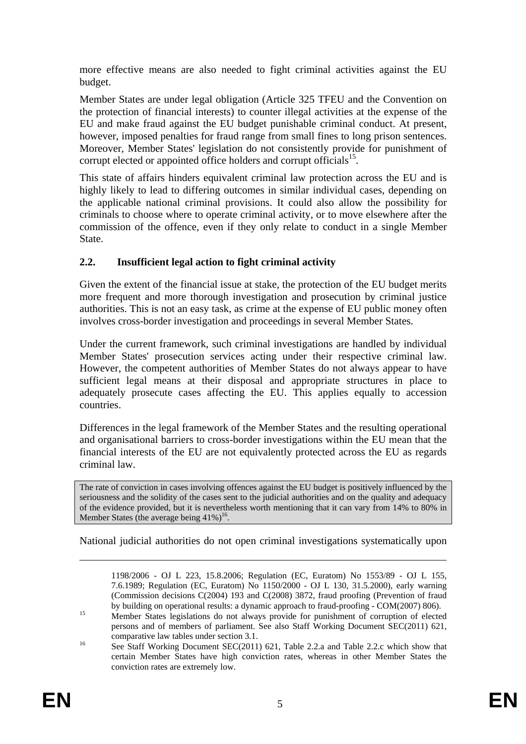more effective means are also needed to fight criminal activities against the EU budget.

Member States are under legal obligation (Article 325 TFEU and the Convention on the protection of financial interests) to counter illegal activities at the expense of the EU and make fraud against the EU budget punishable criminal conduct. At present, however, imposed penalties for fraud range from small fines to long prison sentences. Moreover, Member States' legislation do not consistently provide for punishment of corrupt elected or appointed office holders and corrupt officials<sup>15</sup>.

This state of affairs hinders equivalent criminal law protection across the EU and is highly likely to lead to differing outcomes in similar individual cases, depending on the applicable national criminal provisions. It could also allow the possibility for criminals to choose where to operate criminal activity, or to move elsewhere after the commission of the offence, even if they only relate to conduct in a single Member State.

## **2.2. Insufficient legal action to fight criminal activity**

Given the extent of the financial issue at stake, the protection of the EU budget merits more frequent and more thorough investigation and prosecution by criminal justice authorities. This is not an easy task, as crime at the expense of EU public money often involves cross-border investigation and proceedings in several Member States.

Under the current framework, such criminal investigations are handled by individual Member States' prosecution services acting under their respective criminal law. However, the competent authorities of Member States do not always appear to have sufficient legal means at their disposal and appropriate structures in place to adequately prosecute cases affecting the EU. This applies equally to accession countries.

Differences in the legal framework of the Member States and the resulting operational and organisational barriers to cross-border investigations within the EU mean that the financial interests of the EU are not equivalently protected across the EU as regards criminal law.

The rate of conviction in cases involving offences against the EU budget is positively influenced by the seriousness and the solidity of the cases sent to the judicial authorities and on the quality and adequacy of the evidence provided, but it is nevertheless worth mentioning that it can vary from 14% to 80% in Member States (the average being  $41\%$ )<sup>16</sup>.

National judicial authorities do not open criminal investigations systematically upon

<sup>1198/2006 -</sup> OJ L 223, 15.8.2006; Regulation (EC, Euratom) No 1553/89 - OJ L 155, 7.6.1989; Regulation (EC, Euratom) No 1150/2000 - OJ L 130, 31.5.2000), early warning (Commission decisions C(2004) 193 and C(2008) 3872, fraud proofing (Prevention of fraud<br>by building on operational results: a dynamic approach to fraud-proofing - COM(2007) 806).

<sup>&</sup>lt;sup>15</sup> Member States legislations do not always provide for punishment of corruption of elected persons and of members of parliament. See also Staff Working Document SEC(2011) 621, comparative law tables under section 3.1.<br>
See Staff Working Document SEC(2011) 621, Table 2.2.a and Table 2.2.c which show that

certain Member States have high conviction rates, whereas in other Member States the conviction rates are extremely low.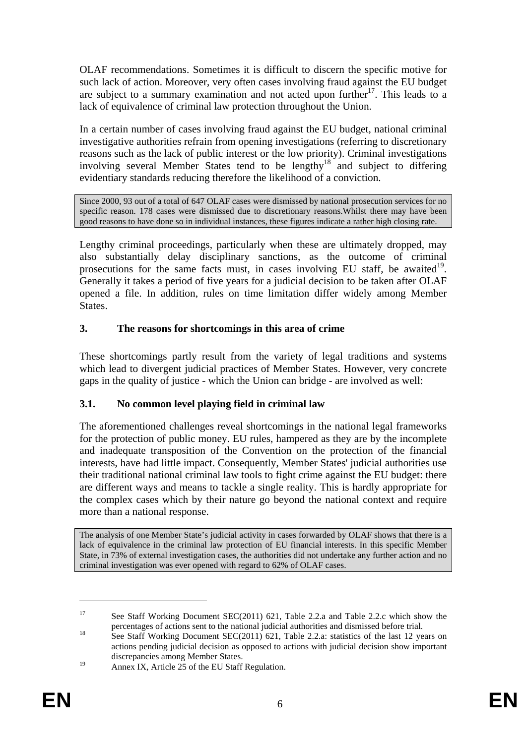OLAF recommendations. Sometimes it is difficult to discern the specific motive for such lack of action. Moreover, very often cases involving fraud against the EU budget are subject to a summary examination and not acted upon further<sup>17</sup>. This leads to a lack of equivalence of criminal law protection throughout the Union.

In a certain number of cases involving fraud against the EU budget, national criminal investigative authorities refrain from opening investigations (referring to discretionary reasons such as the lack of public interest or the low priority). Criminal investigations involving several Member States tend to be lengthy<sup>18</sup> and subject to differing evidentiary standards reducing therefore the likelihood of a conviction.

Since 2000, 93 out of a total of 647 OLAF cases were dismissed by national prosecution services for no specific reason. 178 cases were dismissed due to discretionary reasons.Whilst there may have been good reasons to have done so in individual instances, these figures indicate a rather high closing rate.

Lengthy criminal proceedings, particularly when these are ultimately dropped, may also substantially delay disciplinary sanctions, as the outcome of criminal prosecutions for the same facts must, in cases involving EU staff, be awaited<sup>19</sup>. Generally it takes a period of five years for a judicial decision to be taken after OLAF opened a file. In addition, rules on time limitation differ widely among Member States.

## **3. The reasons for shortcomings in this area of crime**

These shortcomings partly result from the variety of legal traditions and systems which lead to divergent judicial practices of Member States. However, very concrete gaps in the quality of justice - which the Union can bridge - are involved as well:

# **3.1. No common level playing field in criminal law**

The aforementioned challenges reveal shortcomings in the national legal frameworks for the protection of public money. EU rules, hampered as they are by the incomplete and inadequate transposition of the Convention on the protection of the financial interests, have had little impact. Consequently, Member States' judicial authorities use their traditional national criminal law tools to fight crime against the EU budget: there are different ways and means to tackle a single reality. This is hardly appropriate for the complex cases which by their nature go beyond the national context and require more than a national response.

The analysis of one Member State's judicial activity in cases forwarded by OLAF shows that there is a lack of equivalence in the criminal law protection of EU financial interests. In this specific Member State, in 73% of external investigation cases, the authorities did not undertake any further action and no criminal investigation was ever opened with regard to 62% of OLAF cases.

<sup>&</sup>lt;sup>17</sup> See Staff Working Document SEC(2011) 621, Table 2.2.a and Table 2.2.c which show the

percentages of actions sent to the national judicial authorities and dismissed before trial.<br><sup>18</sup> See Staff Working Document SEC(2011) 621, Table 2.2.a: statistics of the last 12 years on actions pending judicial decision as opposed to actions with judicial decision show important discrepancies among Member States.

<sup>&</sup>lt;sup>19</sup> Annex IX, Article 25 of the EU Staff Regulation.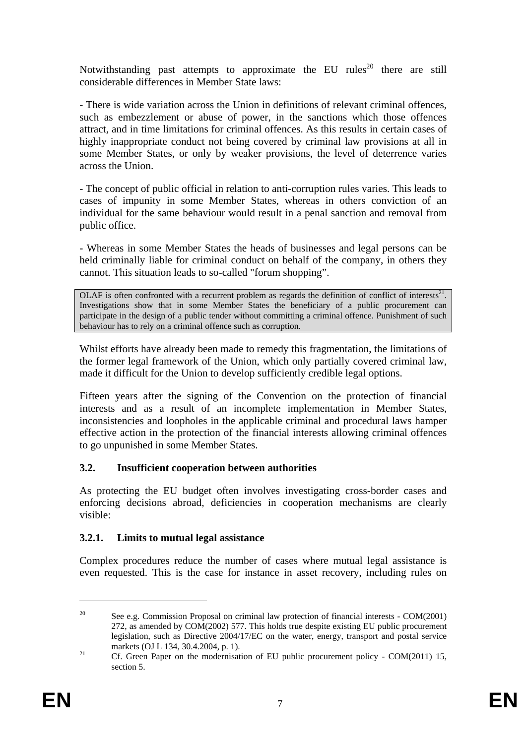Notwithstanding past attempts to approximate the EU rules<sup>20</sup> there are still considerable differences in Member State laws:

- There is wide variation across the Union in definitions of relevant criminal offences, such as embezzlement or abuse of power, in the sanctions which those offences attract, and in time limitations for criminal offences. As this results in certain cases of highly inappropriate conduct not being covered by criminal law provisions at all in some Member States, or only by weaker provisions, the level of deterrence varies across the Union.

- The concept of public official in relation to anti-corruption rules varies. This leads to cases of impunity in some Member States, whereas in others conviction of an individual for the same behaviour would result in a penal sanction and removal from public office.

- Whereas in some Member States the heads of businesses and legal persons can be held criminally liable for criminal conduct on behalf of the company, in others they cannot. This situation leads to so-called "forum shopping".

OLAF is often confronted with a recurrent problem as regards the definition of conflict of interests $^{21}$ . Investigations show that in some Member States the beneficiary of a public procurement can participate in the design of a public tender without committing a criminal offence. Punishment of such behaviour has to rely on a criminal offence such as corruption.

Whilst efforts have already been made to remedy this fragmentation, the limitations of the former legal framework of the Union, which only partially covered criminal law, made it difficult for the Union to develop sufficiently credible legal options.

Fifteen years after the signing of the Convention on the protection of financial interests and as a result of an incomplete implementation in Member States, inconsistencies and loopholes in the applicable criminal and procedural laws hamper effective action in the protection of the financial interests allowing criminal offences to go unpunished in some Member States.

### **3.2. Insufficient cooperation between authorities**

As protecting the EU budget often involves investigating cross-border cases and enforcing decisions abroad, deficiencies in cooperation mechanisms are clearly visible:

### **3.2.1. Limits to mutual legal assistance**

Complex procedures reduce the number of cases where mutual legal assistance is even requested. This is the case for instance in asset recovery, including rules on

<sup>&</sup>lt;sup>20</sup> See e.g. Commission Proposal on criminal law protection of financial interests - COM(2001) 272, as amended by COM(2002) 577. This holds true despite existing EU public procurement legislation, such as Directive 2004/17/EC on the water, energy, transport and postal service

markets (OJ L 134, 30.4.2004, p. 1).<br>
21 Cf. Green Paper on the modernisation of EU public procurement policy - COM(2011) 15, section 5.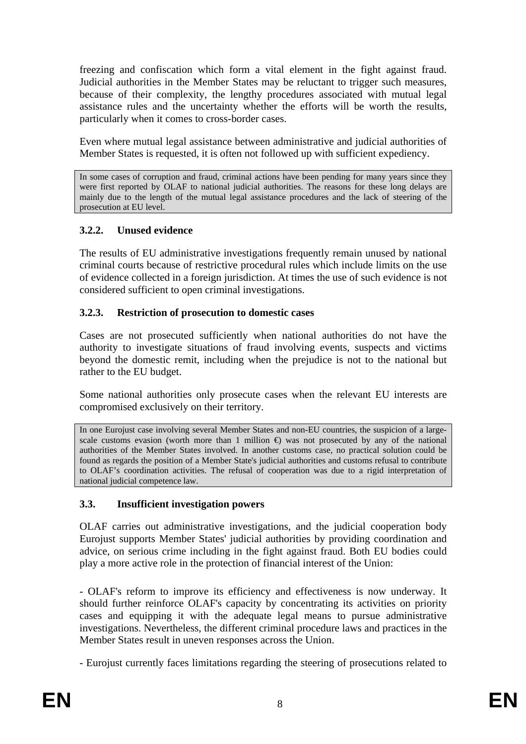freezing and confiscation which form a vital element in the fight against fraud. Judicial authorities in the Member States may be reluctant to trigger such measures, because of their complexity, the lengthy procedures associated with mutual legal assistance rules and the uncertainty whether the efforts will be worth the results, particularly when it comes to cross-border cases.

Even where mutual legal assistance between administrative and judicial authorities of Member States is requested, it is often not followed up with sufficient expediency.

In some cases of corruption and fraud, criminal actions have been pending for many years since they were first reported by OLAF to national judicial authorities. The reasons for these long delays are mainly due to the length of the mutual legal assistance procedures and the lack of steering of the prosecution at EU level.

## **3.2.2. Unused evidence**

The results of EU administrative investigations frequently remain unused by national criminal courts because of restrictive procedural rules which include limits on the use of evidence collected in a foreign jurisdiction. At times the use of such evidence is not considered sufficient to open criminal investigations.

### **3.2.3. Restriction of prosecution to domestic cases**

Cases are not prosecuted sufficiently when national authorities do not have the authority to investigate situations of fraud involving events, suspects and victims beyond the domestic remit, including when the prejudice is not to the national but rather to the EU budget.

Some national authorities only prosecute cases when the relevant EU interests are compromised exclusively on their territory.

In one Eurojust case involving several Member States and non-EU countries, the suspicion of a largescale customs evasion (worth more than 1 million  $\oplus$  was not prosecuted by any of the national authorities of the Member States involved. In another customs case, no practical solution could be found as regards the position of a Member State's judicial authorities and customs refusal to contribute to OLAF's coordination activities. The refusal of cooperation was due to a rigid interpretation of national judicial competence law.

# **3.3. Insufficient investigation powers**

OLAF carries out administrative investigations, and the judicial cooperation body Eurojust supports Member States' judicial authorities by providing coordination and advice, on serious crime including in the fight against fraud. Both EU bodies could play a more active role in the protection of financial interest of the Union:

- OLAF's reform to improve its efficiency and effectiveness is now underway. It should further reinforce OLAF's capacity by concentrating its activities on priority cases and equipping it with the adequate legal means to pursue administrative investigations. Nevertheless, the different criminal procedure laws and practices in the Member States result in uneven responses across the Union.

- Eurojust currently faces limitations regarding the steering of prosecutions related to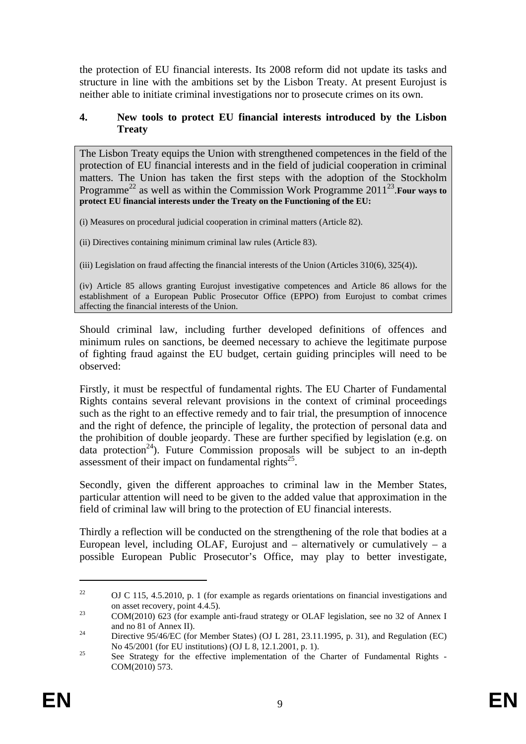the protection of EU financial interests. Its 2008 reform did not update its tasks and structure in line with the ambitions set by the Lisbon Treaty. At present Eurojust is neither able to initiate criminal investigations nor to prosecute crimes on its own.

#### **4. New tools to protect EU financial interests introduced by the Lisbon Treaty**

The Lisbon Treaty equips the Union with strengthened competences in the field of the protection of EU financial interests and in the field of judicial cooperation in criminal matters. The Union has taken the first steps with the adoption of the Stockholm Programme<sup>22</sup> as well as within the Commission Work Programme 2011<sup>23</sup>. Four ways to **protect EU financial interests under the Treaty on the Functioning of the EU:** 

(i) Measures on procedural judicial cooperation in criminal matters (Article 82).

(ii) Directives containing minimum criminal law rules (Article 83).

(iii) Legislation on fraud affecting the financial interests of the Union (Articles 310(6), 325(4)).

(iv) Article 85 allows granting Eurojust investigative competences and Article 86 allows for the establishment of a European Public Prosecutor Office (EPPO) from Eurojust to combat crimes affecting the financial interests of the Union.

Should criminal law, including further developed definitions of offences and minimum rules on sanctions, be deemed necessary to achieve the legitimate purpose of fighting fraud against the EU budget, certain guiding principles will need to be observed:

Firstly, it must be respectful of fundamental rights. The EU Charter of Fundamental Rights contains several relevant provisions in the context of criminal proceedings such as the right to an effective remedy and to fair trial, the presumption of innocence and the right of defence, the principle of legality, the protection of personal data and the prohibition of double jeopardy. These are further specified by legislation (e.g. on data protection<sup>24</sup>). Future Commission proposals will be subject to an in-depth assessment of their impact on fundamental rights<sup>25</sup>.

Secondly, given the different approaches to criminal law in the Member States, particular attention will need to be given to the added value that approximation in the field of criminal law will bring to the protection of EU financial interests.

Thirdly a reflection will be conducted on the strengthening of the role that bodies at a European level, including OLAF, Eurojust and  $-$  alternatively or cumulatively  $-$  a possible European Public Prosecutor's Office, may play to better investigate,

<sup>&</sup>lt;sup>22</sup> OJ C 115, 4.5.2010, p. 1 (for example as regards orientations on financial investigations and on asset recovery, point 4.4.5).<br>
23 COM(2010) 623 (for example anti-fraud strategy or OLAF legislation, see no 32 of Annex I

and no 81 of Annex II).<br><sup>24</sup> Directive 95/46/EC (for Member States) (OJ L 281, 23.11.1995, p. 31), and Regulation (EC)

No 45/2001 (for EU institutions) (OJ L 8, 12.1.2001, p. 1).<br>See Strategy for the effective implementation of the Charter of Fundamental Rights -

COM(2010) 573.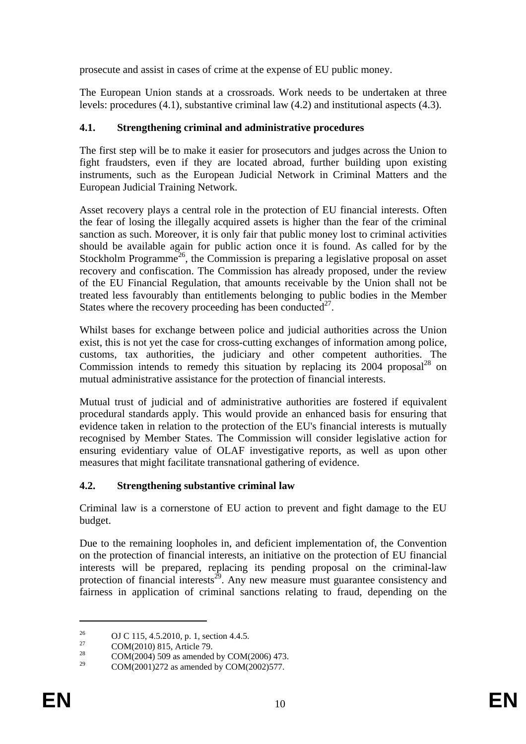prosecute and assist in cases of crime at the expense of EU public money.

The European Union stands at a crossroads. Work needs to be undertaken at three levels: procedures (4.1), substantive criminal law (4.2) and institutional aspects (4.3).

# **4.1. Strengthening criminal and administrative procedures**

The first step will be to make it easier for prosecutors and judges across the Union to fight fraudsters, even if they are located abroad, further building upon existing instruments, such as the European Judicial Network in Criminal Matters and the European Judicial Training Network.

Asset recovery plays a central role in the protection of EU financial interests. Often the fear of losing the illegally acquired assets is higher than the fear of the criminal sanction as such. Moreover, it is only fair that public money lost to criminal activities should be available again for public action once it is found. As called for by the Stockholm Programme<sup>26</sup>, the Commission is preparing a legislative proposal on asset recovery and confiscation. The Commission has already proposed, under the review of the EU Financial Regulation, that amounts receivable by the Union shall not be treated less favourably than entitlements belonging to public bodies in the Member States where the recovery proceeding has been conducted<sup>27</sup>.

Whilst bases for exchange between police and judicial authorities across the Union exist, this is not yet the case for cross-cutting exchanges of information among police, customs, tax authorities, the judiciary and other competent authorities. The Commission intends to remedy this situation by replacing its  $2004$  proposal<sup>28</sup> on mutual administrative assistance for the protection of financial interests.

Mutual trust of judicial and of administrative authorities are fostered if equivalent procedural standards apply. This would provide an enhanced basis for ensuring that evidence taken in relation to the protection of the EU's financial interests is mutually recognised by Member States. The Commission will consider legislative action for ensuring evidentiary value of OLAF investigative reports, as well as upon other measures that might facilitate transnational gathering of evidence.

# **4.2. Strengthening substantive criminal law**

Criminal law is a cornerstone of EU action to prevent and fight damage to the EU budget.

Due to the remaining loopholes in, and deficient implementation of, the Convention on the protection of financial interests, an initiative on the protection of EU financial interests will be prepared, replacing its pending proposal on the criminal-law protection of financial interests<sup>29</sup>. Any new measure must guarantee consistency and fairness in application of criminal sanctions relating to fraud, depending on the

<sup>&</sup>lt;sup>26</sup> OJ C 115, 4.5.2010, p. 1, section 4.4.5.<br>
COM(2010) 815, A visit 70

 $^{27}$  COM(2010) 815, Article 79.

<sup>&</sup>lt;sup>28</sup> COM(2004) 509 as amended by COM(2006) 473.

COM(2001)272 as amended by COM(2002)577.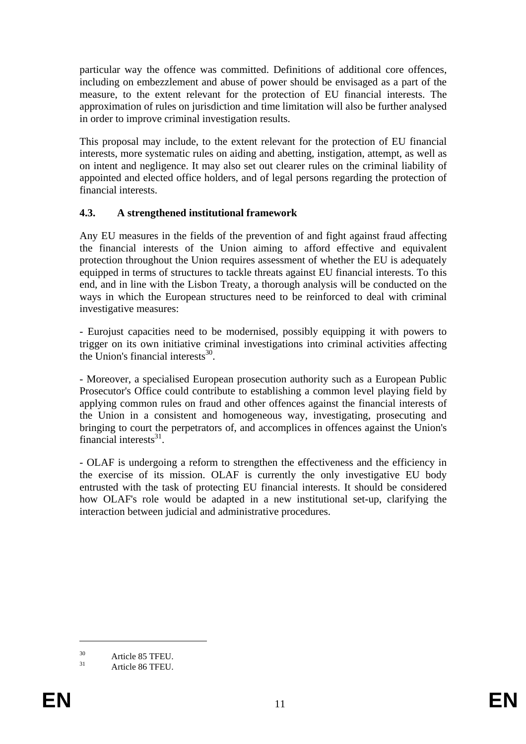particular way the offence was committed. Definitions of additional core offences, including on embezzlement and abuse of power should be envisaged as a part of the measure, to the extent relevant for the protection of EU financial interests. The approximation of rules on jurisdiction and time limitation will also be further analysed in order to improve criminal investigation results.

This proposal may include, to the extent relevant for the protection of EU financial interests, more systematic rules on aiding and abetting, instigation, attempt, as well as on intent and negligence. It may also set out clearer rules on the criminal liability of appointed and elected office holders, and of legal persons regarding the protection of financial interests.

## **4.3. A strengthened institutional framework**

Any EU measures in the fields of the prevention of and fight against fraud affecting the financial interests of the Union aiming to afford effective and equivalent protection throughout the Union requires assessment of whether the EU is adequately equipped in terms of structures to tackle threats against EU financial interests. To this end, and in line with the Lisbon Treaty, a thorough analysis will be conducted on the ways in which the European structures need to be reinforced to deal with criminal investigative measures:

- Eurojust capacities need to be modernised, possibly equipping it with powers to trigger on its own initiative criminal investigations into criminal activities affecting the Union's financial interests $^{30}$ .

- Moreover, a specialised European prosecution authority such as a European Public Prosecutor's Office could contribute to establishing a common level playing field by applying common rules on fraud and other offences against the financial interests of the Union in a consistent and homogeneous way, investigating, prosecuting and bringing to court the perpetrators of, and accomplices in offences against the Union's financial interests $31$ .

- OLAF is undergoing a reform to strengthen the effectiveness and the efficiency in the exercise of its mission. OLAF is currently the only investigative EU body entrusted with the task of protecting EU financial interests. It should be considered how OLAF's role would be adapted in a new institutional set-up, clarifying the interaction between judicial and administrative procedures.

 $30$  Article 85 TFEU.

Article 86 TFEU.